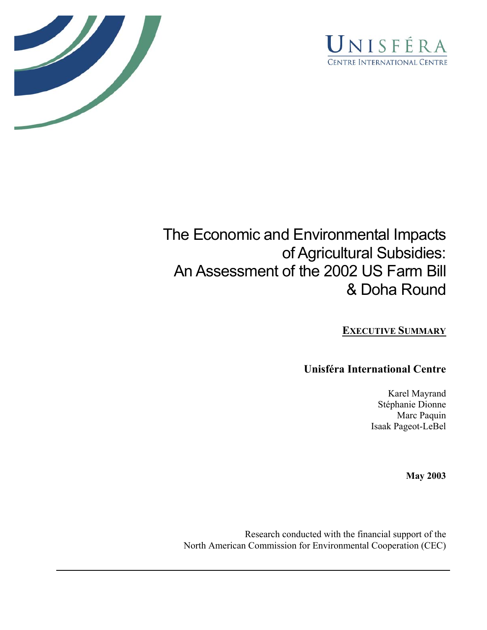



# The Economic and Environmental Impacts of Agricultural Subsidies: An Assessment of the 2002 US Farm Bill & Doha Round

#### **EXECUTIVE SUMMARY**

#### **Unisféra International Centre**

Karel Mayrand Stéphanie Dionne Marc Paquin Isaak Pageot-LeBel

**May 2003**

Research conducted with the financial support of the North American Commission for Environmental Cooperation (CEC)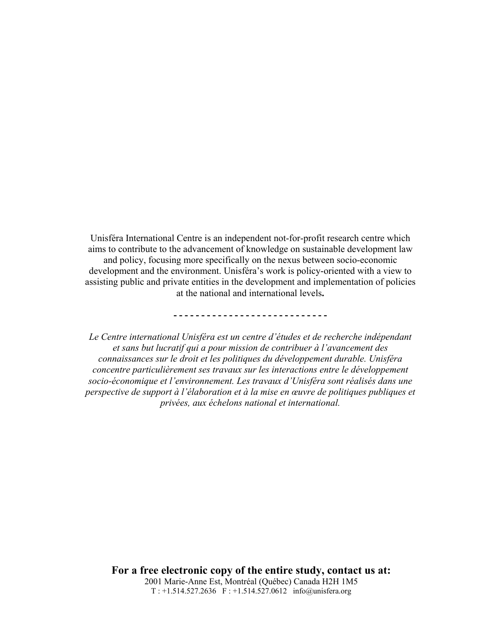Unisféra International Centre is an independent not-for-profit research centre which aims to contribute to the advancement of knowledge on sustainable development law and policy, focusing more specifically on the nexus between socio-economic development and the environment. Unisféra's work is policy-oriented with a view to assisting public and private entities in the development and implementation of policies at the national and international levels**.** 

**- - - - - - - - - - - - - - - - - - - - - - - - - - - -** 

*Le Centre international Unisféra est un centre d'études et de recherche indépendant et sans but lucratif qui a pour mission de contribuer à l'avancement des connaissances sur le droit et les politiques du développement durable. Unisféra concentre particulièrement ses travaux sur les interactions entre le développement socio-économique et l'environnement. Les travaux d'Unisféra sont réalisés dans une perspective de support à l'élaboration et à la mise en œuvre de politiques publiques et privées, aux échelons national et international.* 

**For a free electronic copy of the entire study, contact us at:**  2001 Marie-Anne Est, Montréal (Québec) Canada H2H 1M5 T : +1.514.527.2636 F : +1.514.527.0612 info@unisfera.org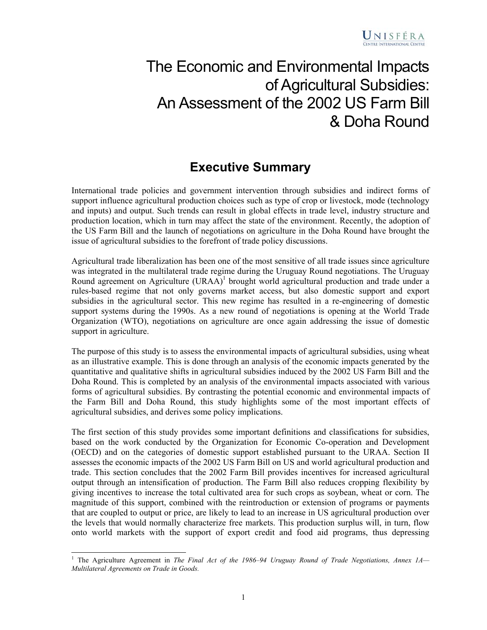## The Economic and Environmental Impacts of Agricultural Subsidies: An Assessment of the 2002 US Farm Bill & Doha Round

### **Executive Summary**

International trade policies and government intervention through subsidies and indirect forms of support influence agricultural production choices such as type of crop or livestock, mode (technology and inputs) and output. Such trends can result in global effects in trade level, industry structure and production location, which in turn may affect the state of the environment. Recently, the adoption of the US Farm Bill and the launch of negotiations on agriculture in the Doha Round have brought the issue of agricultural subsidies to the forefront of trade policy discussions.

Agricultural trade liberalization has been one of the most sensitive of all trade issues since agriculture was integrated in the multilateral trade regime during the Uruguay Round negotiations. The Uruguay Round agreement on Agriculture (URAA)<sup>1</sup> brought world agricultural production and trade under a rules-based regime that not only governs market access, but also domestic support and export subsidies in the agricultural sector. This new regime has resulted in a re-engineering of domestic support systems during the 1990s. As a new round of negotiations is opening at the World Trade Organization (WTO), negotiations on agriculture are once again addressing the issue of domestic support in agriculture.

The purpose of this study is to assess the environmental impacts of agricultural subsidies, using wheat as an illustrative example. This is done through an analysis of the economic impacts generated by the quantitative and qualitative shifts in agricultural subsidies induced by the 2002 US Farm Bill and the Doha Round. This is completed by an analysis of the environmental impacts associated with various forms of agricultural subsidies. By contrasting the potential economic and environmental impacts of the Farm Bill and Doha Round, this study highlights some of the most important effects of agricultural subsidies, and derives some policy implications.

The first section of this study provides some important definitions and classifications for subsidies, based on the work conducted by the Organization for Economic Co-operation and Development (OECD) and on the categories of domestic support established pursuant to the URAA. Section II assesses the economic impacts of the 2002 US Farm Bill on US and world agricultural production and trade. This section concludes that the 2002 Farm Bill provides incentives for increased agricultural output through an intensification of production. The Farm Bill also reduces cropping flexibility by giving incentives to increase the total cultivated area for such crops as soybean, wheat or corn. The magnitude of this support, combined with the reintroduction or extension of programs or payments that are coupled to output or price, are likely to lead to an increase in US agricultural production over the levels that would normally characterize free markets. This production surplus will, in turn, flow onto world markets with the support of export credit and food aid programs, thus depressing

<sup>&</sup>lt;sup>1</sup> The Agriculture Agreement in *The Final Act of the 1986–94 Uruguay Round of Trade Negotiations, Annex 1A— Multilateral Agreements on Trade in Goods.*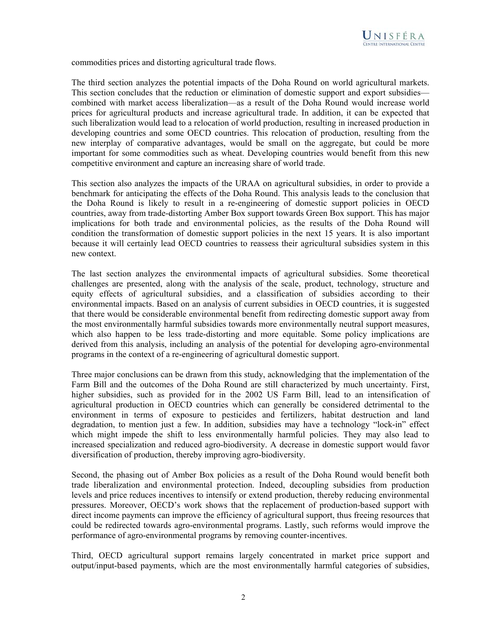

commodities prices and distorting agricultural trade flows.

The third section analyzes the potential impacts of the Doha Round on world agricultural markets. This section concludes that the reduction or elimination of domestic support and export subsidies combined with market access liberalization—as a result of the Doha Round would increase world prices for agricultural products and increase agricultural trade. In addition, it can be expected that such liberalization would lead to a relocation of world production, resulting in increased production in developing countries and some OECD countries. This relocation of production, resulting from the new interplay of comparative advantages, would be small on the aggregate, but could be more important for some commodities such as wheat. Developing countries would benefit from this new competitive environment and capture an increasing share of world trade.

This section also analyzes the impacts of the URAA on agricultural subsidies, in order to provide a benchmark for anticipating the effects of the Doha Round. This analysis leads to the conclusion that the Doha Round is likely to result in a re-engineering of domestic support policies in OECD countries, away from trade-distorting Amber Box support towards Green Box support. This has major implications for both trade and environmental policies, as the results of the Doha Round will condition the transformation of domestic support policies in the next 15 years. It is also important because it will certainly lead OECD countries to reassess their agricultural subsidies system in this new context.

The last section analyzes the environmental impacts of agricultural subsidies. Some theoretical challenges are presented, along with the analysis of the scale, product, technology, structure and equity effects of agricultural subsidies, and a classification of subsidies according to their environmental impacts. Based on an analysis of current subsidies in OECD countries, it is suggested that there would be considerable environmental benefit from redirecting domestic support away from the most environmentally harmful subsidies towards more environmentally neutral support measures, which also happen to be less trade-distorting and more equitable. Some policy implications are derived from this analysis, including an analysis of the potential for developing agro-environmental programs in the context of a re-engineering of agricultural domestic support.

Three major conclusions can be drawn from this study, acknowledging that the implementation of the Farm Bill and the outcomes of the Doha Round are still characterized by much uncertainty. First, higher subsidies, such as provided for in the 2002 US Farm Bill, lead to an intensification of agricultural production in OECD countries which can generally be considered detrimental to the environment in terms of exposure to pesticides and fertilizers, habitat destruction and land degradation, to mention just a few. In addition, subsidies may have a technology "lock-in" effect which might impede the shift to less environmentally harmful policies. They may also lead to increased specialization and reduced agro-biodiversity. A decrease in domestic support would favor diversification of production, thereby improving agro-biodiversity.

Second, the phasing out of Amber Box policies as a result of the Doha Round would benefit both trade liberalization and environmental protection. Indeed, decoupling subsidies from production levels and price reduces incentives to intensify or extend production, thereby reducing environmental pressures. Moreover, OECD's work shows that the replacement of production-based support with direct income payments can improve the efficiency of agricultural support, thus freeing resources that could be redirected towards agro-environmental programs. Lastly, such reforms would improve the performance of agro-environmental programs by removing counter-incentives.

Third, OECD agricultural support remains largely concentrated in market price support and output/input-based payments, which are the most environmentally harmful categories of subsidies,